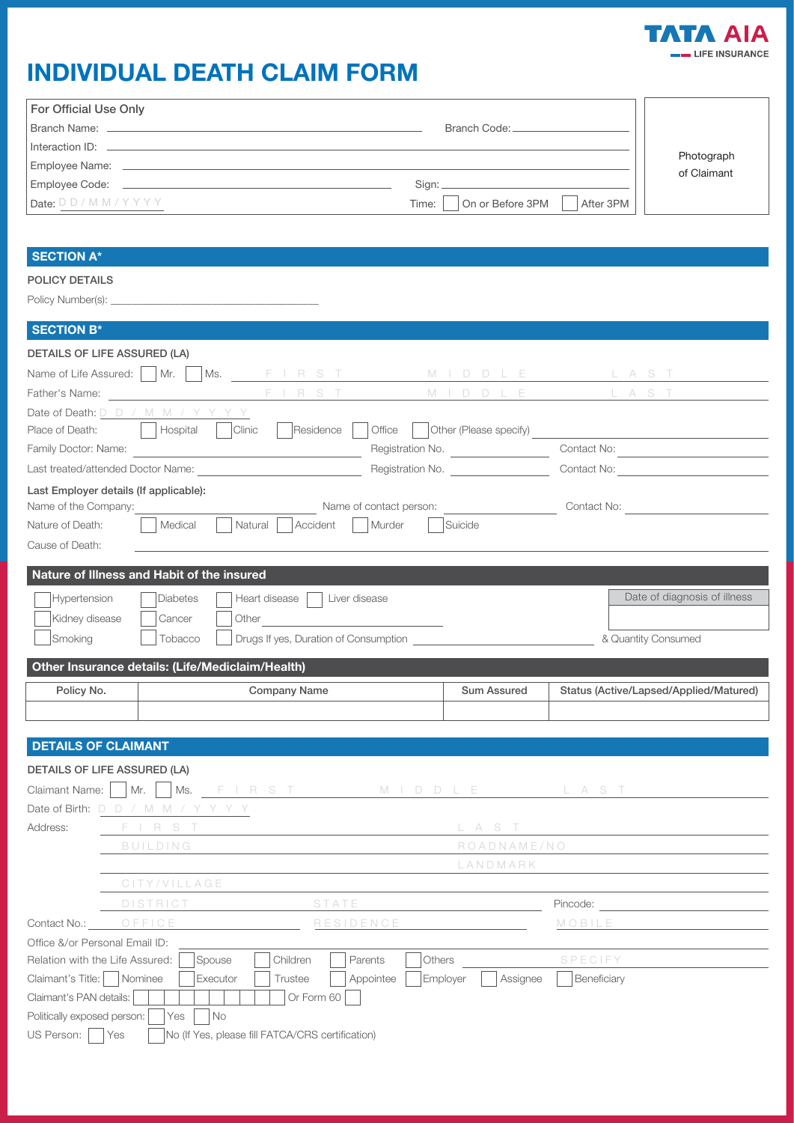

# INDIVIDUAL DEATH CLAIM FORM

| <b>For Official Use Only</b> |                                        |                           |
|------------------------------|----------------------------------------|---------------------------|
| Branch Name: _______         | Branch Code: _____                     |                           |
| Interaction ID: ___________  |                                        |                           |
| Employee Name: __________    |                                        | Photograph<br>of Claimant |
| Employee Code: ___________   |                                        |                           |
| Date: DD/MM/YYYY             | On or Before 3PM<br>After 3PM<br>Time: |                           |

## SECTION A\*

POLICY DETAILS

Policy Number(s): \_\_\_\_\_\_\_\_\_\_\_\_\_\_\_\_\_\_\_\_\_\_\_\_\_\_\_\_\_\_\_\_\_\_\_\_\_\_\_

| <b>SECTION B*</b>                                                                                    |                                                     |                                               |
|------------------------------------------------------------------------------------------------------|-----------------------------------------------------|-----------------------------------------------|
| <b>DETAILS OF LIFE ASSURED (LA)</b>                                                                  |                                                     |                                               |
|                                                                                                      |                                                     |                                               |
|                                                                                                      |                                                     |                                               |
| Father's Name: Name: Name: Name: Name: Name: Name: Name: Name: Name: Name: Name: Name: Name: Name: N |                                                     | M I D D L E L A S T                           |
| Date of Death: D D / M M / Y Y Y Y                                                                   |                                                     |                                               |
| Residence    <br>Hospital<br>Clinic<br>Place of Death:                                               |                                                     |                                               |
|                                                                                                      | Registration No.                                    | Contact No:                                   |
|                                                                                                      | Registration No.                                    | Contact No: The Contact Oriental Section 1997 |
| Last Employer details (If applicable):                                                               |                                                     |                                               |
| Name of the Company:                                                                                 | Name of contact person: The Contact No: Contact No: |                                               |
| Nature of Death:<br>Medical<br>Natural  <br>Accident                                                 | Murder<br>Suicide                                   |                                               |
| Cause of Death:                                                                                      |                                                     |                                               |
|                                                                                                      |                                                     |                                               |
| Nature of Illness and Habit of the insured                                                           |                                                     |                                               |
| Hypertension<br>Heart disease   Liver disease<br>Diabetes                                            |                                                     | Date of diagnosis of illness                  |
| Kidney disease<br>Cancer                                                                             |                                                     |                                               |
| Smoking<br>Tobacco                                                                                   | Drugs If yes, Duration of Consumption               | & Quantity Consumed                           |
|                                                                                                      |                                                     |                                               |
| Other Insurance details: (Life/Mediclaim/Health)                                                     |                                                     |                                               |
| Policy No.<br><b>Company Name</b>                                                                    | Sum Assured                                         | Status (Active/Lapsed/Applied/Matured)        |
|                                                                                                      |                                                     |                                               |
|                                                                                                      |                                                     |                                               |
| <b>DETAILS OF CLAIMANT</b>                                                                           |                                                     |                                               |
| <b>DETAILS OF LIFE ASSURED (LA)</b>                                                                  |                                                     |                                               |
| Claimant Name:     Mr.     Ms. FIRST MIDDLE LAST                                                     |                                                     |                                               |
| Date of Birth: D D / M M / Y Y Y Y                                                                   |                                                     |                                               |
| Address:<br>FIRST                                                                                    | L A S T                                             |                                               |
| BUILDING                                                                                             | ROADNAME/NO                                         |                                               |

|                                 | LANDMARK<br>CITY/VILLAGE           |                                                  |                                     |  |
|---------------------------------|------------------------------------|--------------------------------------------------|-------------------------------------|--|
|                                 |                                    |                                                  |                                     |  |
|                                 | <b>DISTRICT</b>                    | STATE                                            | Pincode:                            |  |
| Contact No.:                    | OFFICE                             | RESIDENCE                                        | MOBILE                              |  |
| Office &/or Personal Email ID:  |                                    |                                                  |                                     |  |
| Relation with the Life Assured: | Spouse                             | Children<br><b>Others</b><br>Parents             | SPECIFY                             |  |
| Claimant's Title:               | Nominee<br>Executor                | Appointee<br>Trustee                             | Employer<br>Beneficiary<br>Assignee |  |
| Claimant's PAN details:         |                                    | Or Form 60                                       |                                     |  |
| Politically exposed person:     | Yes<br>$\overline{\phantom{a}}$ No |                                                  |                                     |  |
| US Person:                      | Yes                                | No (If Yes, please fill FATCA/CRS certification) |                                     |  |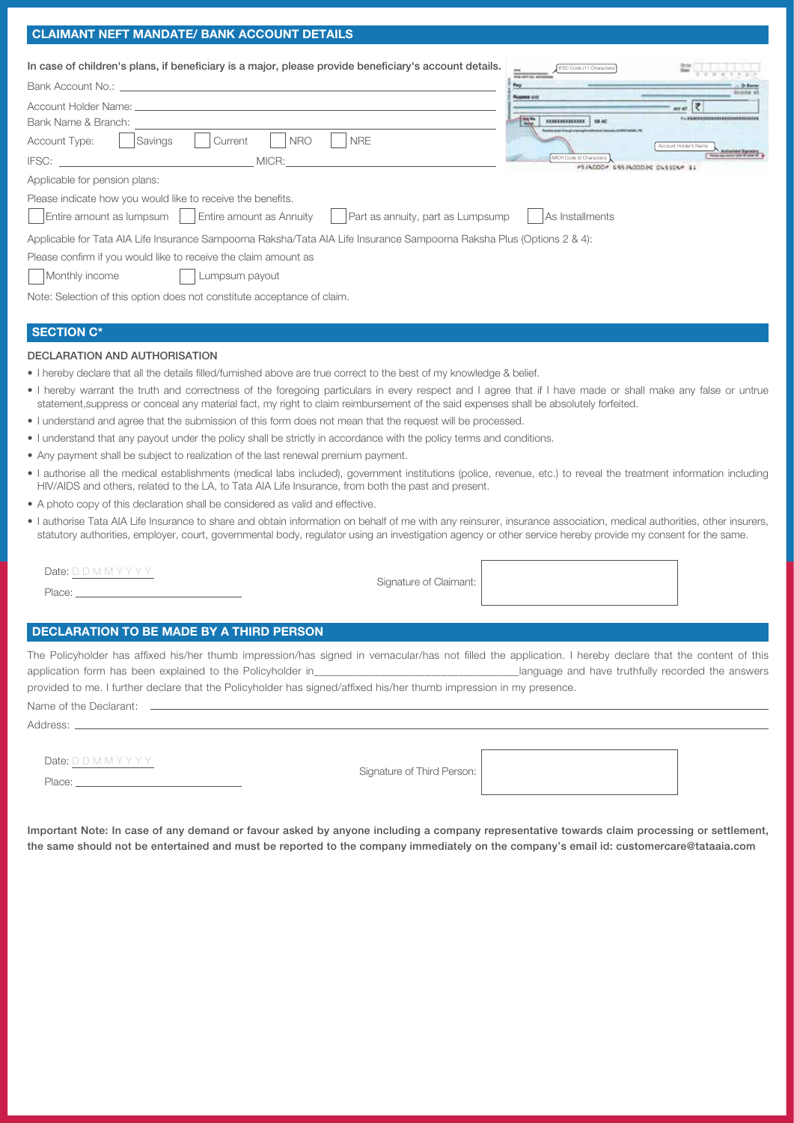#### CLAIMANT NEFT MANDATE/ BANK ACCOUNT DETAILS

| In case of children's plans, if beneficiary is a major, please provide beneficiary's account details.                  | SC Code (11 Character<br>wing mail can assistant            |                                |
|------------------------------------------------------------------------------------------------------------------------|-------------------------------------------------------------|--------------------------------|
| Bank Account No.:                                                                                                      | Para                                                        | . Or Basta<br><b>Basine at</b> |
| Account Holder Name:                                                                                                   | <b>Rupose</b> uni                                           |                                |
| Bank Name & Branch:                                                                                                    | <b>TANK</b><br>110030000000<br><b>BRAC</b>                  |                                |
| <b>NRE</b><br><b>Account Type:</b><br><b>NRO</b><br>Savings<br>Current                                                 |                                                             | Account Holder's Name          |
| IFSC:<br>MICR:                                                                                                         | MICR Code (9 Characters)<br>#514000# ERSPADODING DUSTOAM 31 |                                |
| Applicable for pension plans:                                                                                          |                                                             |                                |
| Please indicate how you would like to receive the benefits.                                                            |                                                             |                                |
| $\vert$ Entire amount as lumpsum $\vert$ $\vert$ Entire amount as Annuity<br>Part as annuity, part as Lumpsump         | As Installments                                             |                                |
| Applicable for Tata AIA Life Insurance Sampoorna Raksha/Tata AIA Life Insurance Sampoorna Raksha Plus (Options 2 & 4): |                                                             |                                |
| Please confirm if you would like to receive the claim amount as                                                        |                                                             |                                |
| Monthly income<br>Lumpsum payout                                                                                       |                                                             |                                |
|                                                                                                                        |                                                             |                                |

Note: Selection of this option does not constitute acceptance of claim.

#### SECTION C\*

#### DECLARATION AND AUTHORISATION

- I hereby declare that all the details filled/furnished above are true correct to the best of my knowledge & belief.
- I hereby warrant the truth and correctness of the foregoing particulars in every respect and I agree that if I have made or shall make any false or untrue statement,suppress or conceal any material fact, my right to claim reimbursement of the said expenses shall be absolutely forfeited.
- I understand and agree that the submission of this form does not mean that the request will be processed.
- I understand that any payout under the policy shall be strictly in accordance with the policy terms and conditions.
- Any payment shall be subject to realization of the last renewal premium payment.
- I authorise all the medical establishments (medical labs included), government institutions (police, revenue, etc.) to reveal the treatment information including HIV/AIDS and others, related to the LA, to Tata AIA Life Insurance, from both the past and present.
- A photo copy of this declaration shall be considered as valid and effective.
- I authorise Tata AIA Life Insurance to share and obtain information on behalf of me with any reinsurer, insurance association, medical authorities, other insurers, statutory authorities, employer, court, governmental body, regulator using an investigation agency or other service hereby provide my consent for the same.

Date: D D M M Y Y Y Y Place:

Signature of Claimant:

#### DECLARATION TO BE MADE BY A THIRD PERSON

The Policyholder has affixed his/her thumb impression/has signed in vernacular/has not filled the application. I hereby declare that the content of this application form has been explained to the Policyholder in\_\_\_\_\_\_\_\_\_\_\_\_\_\_\_\_\_\_\_\_\_\_\_\_\_\_\_\_\_\_\_\_\_\_\_\_\_language and have truthfully recorded the answers provided to me. I further declare that the Policyholder has signed/affixed his/her thumb impression in my presence.

Name of the Declarant: \_

Address:

Date: D D M M Y Y Y Y

Place:

Signature of Third Person:

Important Note: In case of any demand or favour asked by anyone including a company representative towards claim processing or settlement, the same should not be entertained and must be reported to the company immediately on the company's email id: customercare@tataaia.com